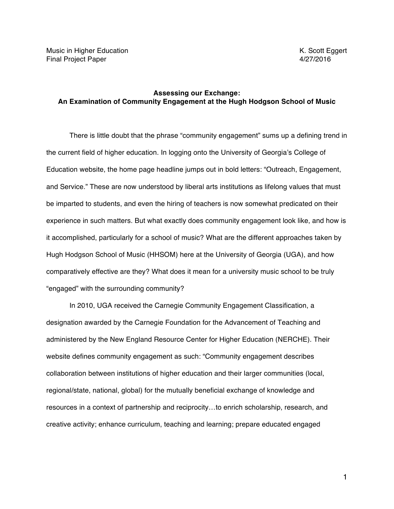# **Assessing our Exchange: An Examination of Community Engagement at the Hugh Hodgson School of Music**

There is little doubt that the phrase "community engagement" sums up a defining trend in the current field of higher education. In logging onto the University of Georgia's College of Education website, the home page headline jumps out in bold letters: "Outreach, Engagement, and Service." These are now understood by liberal arts institutions as lifelong values that must be imparted to students, and even the hiring of teachers is now somewhat predicated on their experience in such matters. But what exactly does community engagement look like, and how is it accomplished, particularly for a school of music? What are the different approaches taken by Hugh Hodgson School of Music (HHSOM) here at the University of Georgia (UGA), and how comparatively effective are they? What does it mean for a university music school to be truly "engaged" with the surrounding community?

In 2010, UGA received the Carnegie Community Engagement Classification, a designation awarded by the Carnegie Foundation for the Advancement of Teaching and administered by the New England Resource Center for Higher Education (NERCHE). Their website defines community engagement as such: "Community engagement describes collaboration between institutions of higher education and their larger communities (local, regional/state, national, global) for the mutually beneficial exchange of knowledge and resources in a context of partnership and reciprocity…to enrich scholarship, research, and creative activity; enhance curriculum, teaching and learning; prepare educated engaged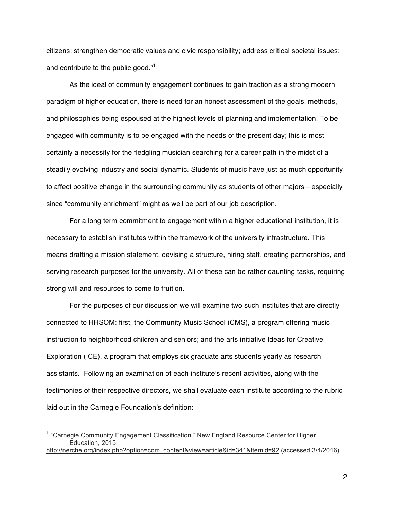citizens; strengthen democratic values and civic responsibility; address critical societal issues; and contribute to the public good."1

As the ideal of community engagement continues to gain traction as a strong modern paradigm of higher education, there is need for an honest assessment of the goals, methods, and philosophies being espoused at the highest levels of planning and implementation. To be engaged with community is to be engaged with the needs of the present day; this is most certainly a necessity for the fledgling musician searching for a career path in the midst of a steadily evolving industry and social dynamic. Students of music have just as much opportunity to affect positive change in the surrounding community as students of other majors—especially since "community enrichment" might as well be part of our job description.

For a long term commitment to engagement within a higher educational institution, it is necessary to establish institutes within the framework of the university infrastructure. This means drafting a mission statement, devising a structure, hiring staff, creating partnerships, and serving research purposes for the university. All of these can be rather daunting tasks, requiring strong will and resources to come to fruition.

For the purposes of our discussion we will examine two such institutes that are directly connected to HHSOM: first, the Community Music School (CMS), a program offering music instruction to neighborhood children and seniors; and the arts initiative Ideas for Creative Exploration (ICE), a program that employs six graduate arts students yearly as research assistants. Following an examination of each institute's recent activities, along with the testimonies of their respective directors, we shall evaluate each institute according to the rubric laid out in the Carnegie Foundation's definition:

 $\overline{a}$ 

<sup>&</sup>lt;sup>1</sup> "Carnegie Community Engagement Classification." New England Resource Center for Higher Education, 2015. http://nerche.org/index.php?option=com\_content&view=article&id=341&Itemid=92 (accessed 3/4/2016)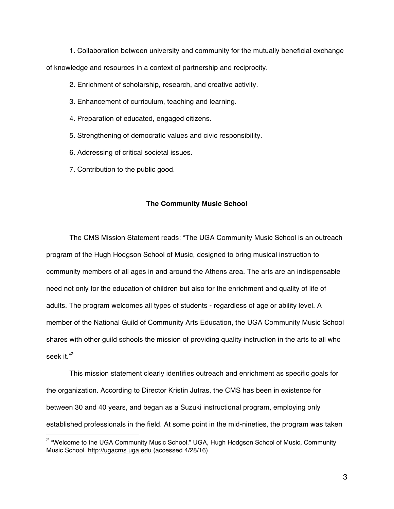1. Collaboration between university and community for the mutually beneficial exchange of knowledge and resources in a context of partnership and reciprocity.

2. Enrichment of scholarship, research, and creative activity.

- 3. Enhancement of curriculum, teaching and learning.
- 4. Preparation of educated, engaged citizens.
- 5. Strengthening of democratic values and civic responsibility.
- 6. Addressing of critical societal issues.
- 7. Contribution to the public good.

 $\overline{a}$ 

#### **The Community Music School**

The CMS Mission Statement reads: "The UGA Community Music School is an outreach program of the Hugh Hodgson School of Music, designed to bring musical instruction to community members of all ages in and around the Athens area. The arts are an indispensable need not only for the education of children but also for the enrichment and quality of life of adults. The program welcomes all types of students - regardless of age or ability level. A member of the National Guild of Community Arts Education, the UGA Community Music School shares with other guild schools the mission of providing quality instruction in the arts to all who seek it."**<sup>2</sup>**

This mission statement clearly identifies outreach and enrichment as specific goals for the organization. According to Director Kristin Jutras, the CMS has been in existence for between 30 and 40 years, and began as a Suzuki instructional program, employing only established professionals in the field. At some point in the mid-nineties, the program was taken

<sup>&</sup>lt;sup>2</sup> "Welcome to the UGA Community Music School." UGA, Hugh Hodgson School of Music, Community Music School. http://ugacms.uga.edu (accessed 4/28/16)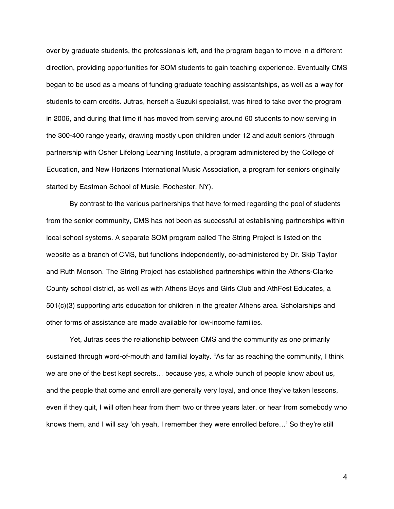over by graduate students, the professionals left, and the program began to move in a different direction, providing opportunities for SOM students to gain teaching experience. Eventually CMS began to be used as a means of funding graduate teaching assistantships, as well as a way for students to earn credits. Jutras, herself a Suzuki specialist, was hired to take over the program in 2006, and during that time it has moved from serving around 60 students to now serving in the 300-400 range yearly, drawing mostly upon children under 12 and adult seniors (through partnership with Osher Lifelong Learning Institute, a program administered by the College of Education, and New Horizons International Music Association, a program for seniors originally started by Eastman School of Music, Rochester, NY).

By contrast to the various partnerships that have formed regarding the pool of students from the senior community, CMS has not been as successful at establishing partnerships within local school systems. A separate SOM program called The String Project is listed on the website as a branch of CMS, but functions independently, co-administered by Dr. Skip Taylor and Ruth Monson. The String Project has established partnerships within the Athens-Clarke County school district, as well as with Athens Boys and Girls Club and AthFest Educates, a 501(c)(3) supporting arts education for children in the greater Athens area. Scholarships and other forms of assistance are made available for low-income families.

Yet, Jutras sees the relationship between CMS and the community as one primarily sustained through word-of-mouth and familial loyalty. "As far as reaching the community, I think we are one of the best kept secrets… because yes, a whole bunch of people know about us, and the people that come and enroll are generally very loyal, and once they've taken lessons, even if they quit, I will often hear from them two or three years later, or hear from somebody who knows them, and I will say 'oh yeah, I remember they were enrolled before…' So they're still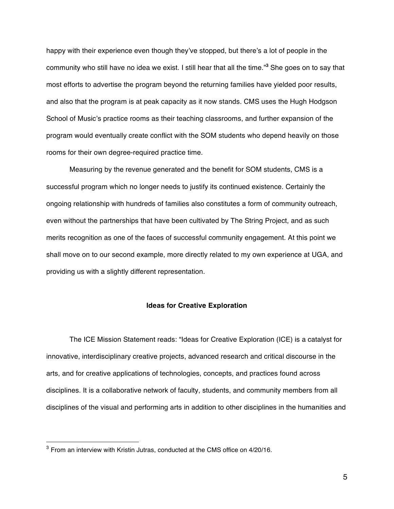happy with their experience even though they've stopped, but there's a lot of people in the community who still have no idea we exist. I still hear that all the time."**<sup>3</sup>** She goes on to say that most efforts to advertise the program beyond the returning families have yielded poor results, and also that the program is at peak capacity as it now stands. CMS uses the Hugh Hodgson School of Music's practice rooms as their teaching classrooms, and further expansion of the program would eventually create conflict with the SOM students who depend heavily on those rooms for their own degree-required practice time.

Measuring by the revenue generated and the benefit for SOM students, CMS is a successful program which no longer needs to justify its continued existence. Certainly the ongoing relationship with hundreds of families also constitutes a form of community outreach, even without the partnerships that have been cultivated by The String Project, and as such merits recognition as one of the faces of successful community engagement. At this point we shall move on to our second example, more directly related to my own experience at UGA, and providing us with a slightly different representation.

## **Ideas for Creative Exploration**

The ICE Mission Statement reads: "Ideas for Creative Exploration (ICE) is a catalyst for innovative, interdisciplinary creative projects, advanced research and critical discourse in the arts, and for creative applications of technologies, concepts, and practices found across disciplines. It is a collaborative network of faculty, students, and community members from all disciplines of the visual and performing arts in addition to other disciplines in the humanities and

 $\overline{a}$ 

 $3$  From an interview with Kristin Jutras, conducted at the CMS office on 4/20/16.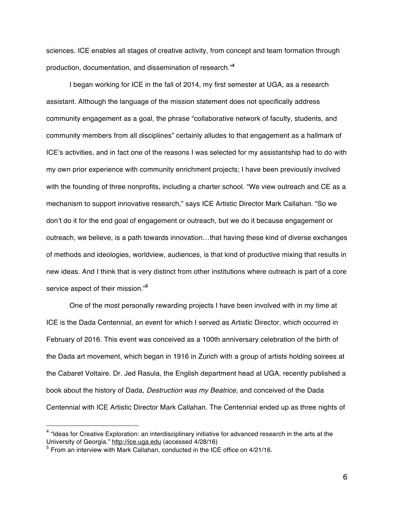sciences. ICE enables all stages of creative activity, from concept and team formation through production, documentation, and dissemination of research."**<sup>4</sup>**

I began working for ICE in the fall of 2014, my first semester at UGA, as a research assistant. Although the language of the mission statement does not specifically address community engagement as a goal, the phrase "collaborative network of faculty, students, and community members from all disciplines" certainly alludes to that engagement as a hallmark of ICE's activities, and in fact one of the reasons I was selected for my assistantship had to do with my own prior experience with community enrichment projects; I have been previously involved with the founding of three nonprofits, including a charter school. "We view outreach and CE as a mechanism to support innovative research," says ICE Artistic Director Mark Callahan. "So we don't do it for the end goal of engagement or outreach, but we do it because engagement or outreach, we believe, is a path towards innovation…that having these kind of diverse exchanges of methods and ideologies, worldview, audiences, is that kind of productive mixing that results in new ideas. And I think that is very distinct from other institutions where outreach is part of a core service aspect of their mission."**<sup>5</sup>**

One of the most personally rewarding projects I have been involved with in my time at ICE is the Dada Centennial, an event for which I served as Artistic Director, which occurred in February of 2016. This event was conceived as a 100th anniversary celebration of the birth of the Dada art movement, which began in 1916 in Zurich with a group of artists holding soirees at the Cabaret Voltaire. Dr. Jed Rasula, the English department head at UGA, recently published a book about the history of Dada, *Destruction was my Beatrice*, and conceived of the Dada Centennial with ICE Artistic Director Mark Callahan. The Centennial ended up as three nights of

 $\overline{a}$ 

<sup>&</sup>lt;sup>4</sup> "Ideas for Creative Exploration: an interdisciplinary initiative for advanced research in the arts at the University of Georgia." http://ice.uga.edu (accessed 4/28/16)

 $5$  From an interview with Mark Callahan, conducted in the ICE office on  $4/21/16$ .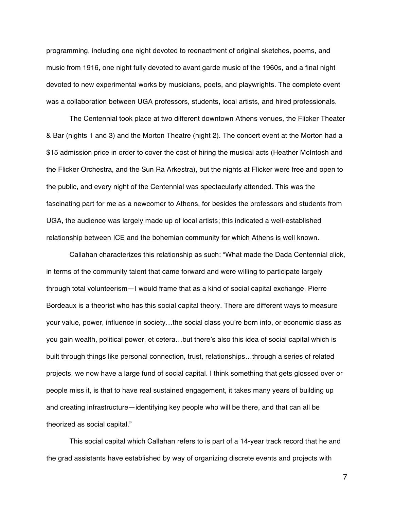programming, including one night devoted to reenactment of original sketches, poems, and music from 1916, one night fully devoted to avant garde music of the 1960s, and a final night devoted to new experimental works by musicians, poets, and playwrights. The complete event was a collaboration between UGA professors, students, local artists, and hired professionals.

The Centennial took place at two different downtown Athens venues, the Flicker Theater & Bar (nights 1 and 3) and the Morton Theatre (night 2). The concert event at the Morton had a \$15 admission price in order to cover the cost of hiring the musical acts (Heather McIntosh and the Flicker Orchestra, and the Sun Ra Arkestra), but the nights at Flicker were free and open to the public, and every night of the Centennial was spectacularly attended. This was the fascinating part for me as a newcomer to Athens, for besides the professors and students from UGA, the audience was largely made up of local artists; this indicated a well-established relationship between ICE and the bohemian community for which Athens is well known.

Callahan characterizes this relationship as such: "What made the Dada Centennial click, in terms of the community talent that came forward and were willing to participate largely through total volunteerism—I would frame that as a kind of social capital exchange. Pierre Bordeaux is a theorist who has this social capital theory. There are different ways to measure your value, power, influence in society…the social class you're born into, or economic class as you gain wealth, political power, et cetera…but there's also this idea of social capital which is built through things like personal connection, trust, relationships…through a series of related projects, we now have a large fund of social capital. I think something that gets glossed over or people miss it, is that to have real sustained engagement, it takes many years of building up and creating infrastructure—identifying key people who will be there, and that can all be theorized as social capital."

This social capital which Callahan refers to is part of a 14-year track record that he and the grad assistants have established by way of organizing discrete events and projects with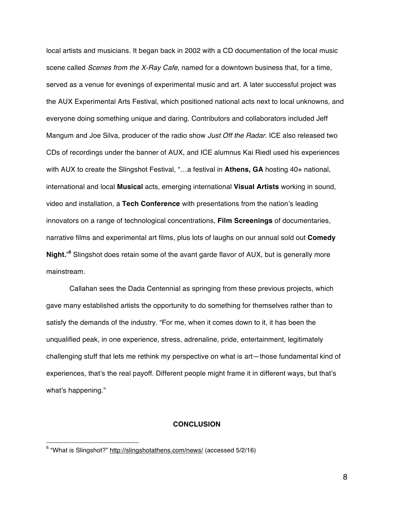local artists and musicians. It began back in 2002 with a CD documentation of the local music scene called *Scenes from the X-Ray Cafe*, named for a downtown business that, for a time, served as a venue for evenings of experimental music and art. A later successful project was the AUX Experimental Arts Festival, which positioned national acts next to local unknowns, and everyone doing something unique and daring. Contributors and collaborators included Jeff Mangum and Joe Silva, producer of the radio show *Just Off the Radar*. ICE also released two CDs of recordings under the banner of AUX, and ICE alumnus Kai Riedl used his experiences with AUX to create the Slingshot Festival, "…a festival in **Athens, GA** hosting 40+ national, international and local **Musical** acts, emerging international **Visual Artists** working in sound, video and installation, a **Tech Conference** with presentations from the nation's leading innovators on a range of technological concentrations, **Film Screenings** of documentaries, narrative films and experimental art films, plus lots of laughs on our annual sold out **Comedy Night.**" **<sup>6</sup>** Slingshot does retain some of the avant garde flavor of AUX, but is generally more mainstream.

Callahan sees the Dada Centennial as springing from these previous projects, which gave many established artists the opportunity to do something for themselves rather than to satisfy the demands of the industry. "For me, when it comes down to it, it has been the unqualified peak, in one experience, stress, adrenaline, pride, entertainment, legitimately challenging stuff that lets me rethink my perspective on what is art—those fundamental kind of experiences, that's the real payoff. Different people might frame it in different ways, but that's what's happening."

### **CONCLUSION**

<sup>6</sup> "What is Slingshot?" http://slingshotathens.com/news/ (accessed 5/2/16)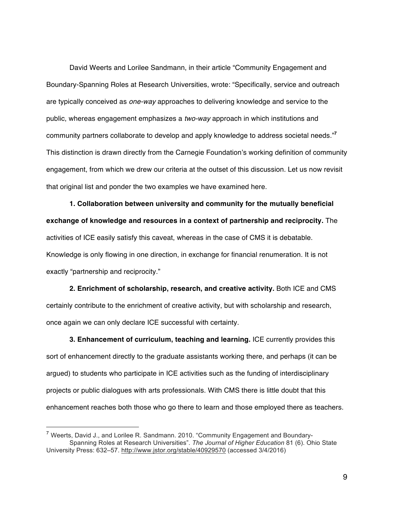David Weerts and Lorilee Sandmann, in their article "Community Engagement and Boundary-Spanning Roles at Research Universities, wrote: "Specifically, service and outreach are typically conceived as *one-way* approaches to delivering knowledge and service to the public, whereas engagement emphasizes a *two-way* approach in which institutions and community partners collaborate to develop and apply knowledge to address societal needs."**<sup>7</sup>** This distinction is drawn directly from the Carnegie Foundation's working definition of community engagement, from which we drew our criteria at the outset of this discussion. Let us now revisit that original list and ponder the two examples we have examined here.

**1. Collaboration between university and community for the mutually beneficial exchange of knowledge and resources in a context of partnership and reciprocity.** The activities of ICE easily satisfy this caveat, whereas in the case of CMS it is debatable. Knowledge is only flowing in one direction, in exchange for financial renumeration. It is not exactly "partnership and reciprocity."

**2. Enrichment of scholarship, research, and creative activity.** Both ICE and CMS certainly contribute to the enrichment of creative activity, but with scholarship and research, once again we can only declare ICE successful with certainty.

**3. Enhancement of curriculum, teaching and learning.** ICE currently provides this sort of enhancement directly to the graduate assistants working there, and perhaps (it can be argued) to students who participate in ICE activities such as the funding of interdisciplinary projects or public dialogues with arts professionals. With CMS there is little doubt that this enhancement reaches both those who go there to learn and those employed there as teachers.

 $\overline{a}$ 

 $<sup>7</sup>$  Weerts, David J., and Lorilee R. Sandmann. 2010. "Community Engagement and Boundary-</sup> Spanning Roles at Research Universities". *The Journal of Higher Education* 81 (6). Ohio State University Press: 632–57. http://www.jstor.org/stable/40929570 (accessed 3/4/2016)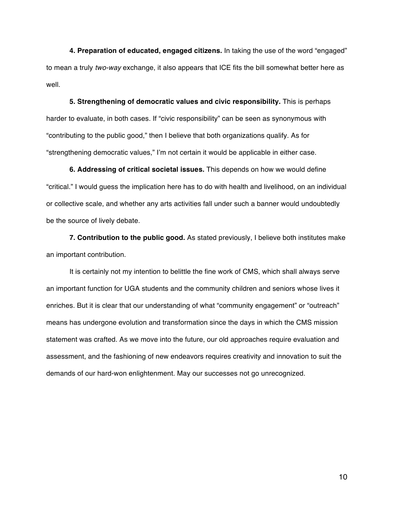**4. Preparation of educated, engaged citizens.** In taking the use of the word "engaged" to mean a truly *two-way* exchange, it also appears that ICE fits the bill somewhat better here as well.

**5. Strengthening of democratic values and civic responsibility.** This is perhaps harder to evaluate, in both cases. If "civic responsibility" can be seen as synonymous with "contributing to the public good," then I believe that both organizations qualify. As for "strengthening democratic values," I'm not certain it would be applicable in either case.

**6. Addressing of critical societal issues.** This depends on how we would define "critical." I would guess the implication here has to do with health and livelihood, on an individual or collective scale, and whether any arts activities fall under such a banner would undoubtedly be the source of lively debate.

**7. Contribution to the public good.** As stated previously, I believe both institutes make an important contribution.

It is certainly not my intention to belittle the fine work of CMS, which shall always serve an important function for UGA students and the community children and seniors whose lives it enriches. But it is clear that our understanding of what "community engagement" or "outreach" means has undergone evolution and transformation since the days in which the CMS mission statement was crafted. As we move into the future, our old approaches require evaluation and assessment, and the fashioning of new endeavors requires creativity and innovation to suit the demands of our hard-won enlightenment. May our successes not go unrecognized.